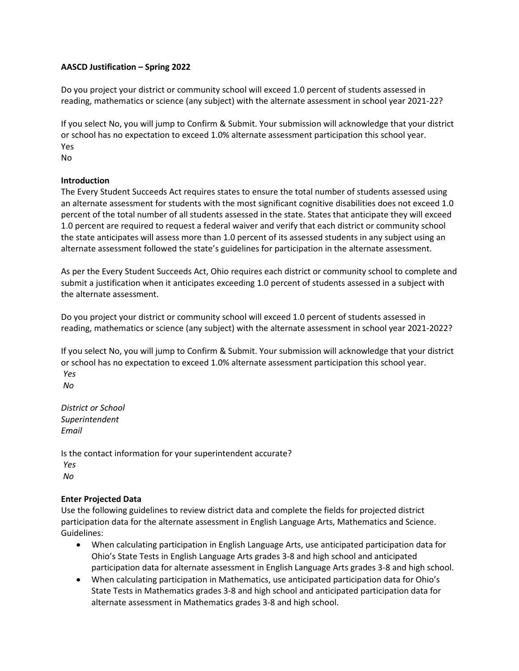## **AASCD Justification – Spring 2022**

Do you project your district or community school will exceed 1.0 percent of students assessed in reading, mathematics or science (any subject) with the alternate assessment in school year 2021-22?

If you select No, you will jump to Confirm & Submit. Your submission will acknowledge that your district or school has no expectation to exceed 1.0% alternate assessment participation this school year. Yes

No

## **Introduction**

The Every Student Succeeds Act requires states to ensure the total number of students assessed using an alternate assessment for students with the most significant cognitive disabilities does not exceed 1.0 percent of the total number of all students assessed in the state. States that anticipate they will exceed 1.0 percent are required to request a federal waiver and verify that each district or community school the state anticipates will assess more than 1.0 percent of its assessed students in any subject using an alternate assessment followed the state's guidelines for participation in the alternate assessment.

As per the Every Student Succeeds Act, Ohio requires each district or community school to complete and submit a justification when it anticipates exceeding 1.0 percent of students assessed in a subject with the alternate assessment.

Do you project your district or community school will exceed 1.0 percent of students assessed in reading, mathematics or science (any subject) with the alternate assessment in school year 2021-2022?

If you select No, you will jump to Confirm & Submit. Your submission will acknowledge that your district or school has no expectation to exceed 1.0% alternate assessment participation this school year. *Yes*

*No*

*District or School Superintendent Email*

Is the contact information for your superintendent accurate? *Yes No*

#### **Enter Projected Data**

Use the following guidelines to review district data and complete the fields for projected district participation data for the alternate assessment in English Language Arts, Mathematics and Science. Guidelines:

- When calculating participation in English Language Arts, use anticipated participation data for Ohio's State Tests in English Language Arts grades 3-8 and high school and anticipated participation data for alternate assessment in English Language Arts grades 3-8 and high school.
- When calculating participation in Mathematics, use anticipated participation data for Ohio's State Tests in Mathematics grades 3-8 and high school and anticipated participation data for alternate assessment in Mathematics grades 3-8 and high school.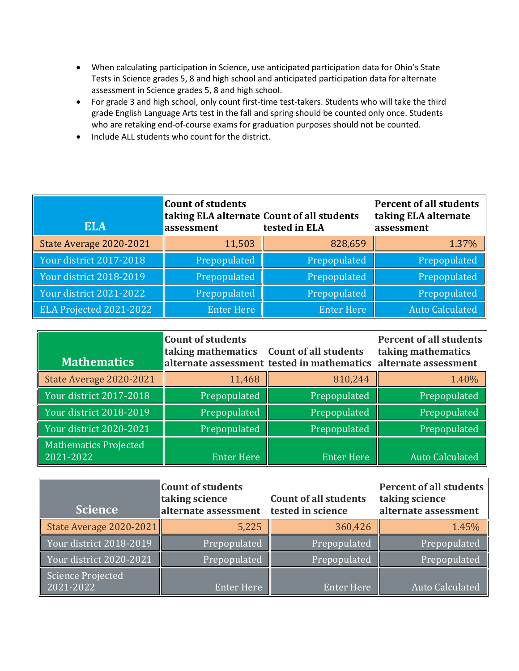- When calculating participation in Science, use anticipated participation data for Ohio's State Tests in Science grades 5, 8 and high school and anticipated participation data for alternate assessment in Science grades 5, 8 and high school.
- For grade 3 and high school, only count first-time test-takers. Students who will take the third grade English Language Arts test in the fall and spring should be counted only once. Students who are retaking end-of-course exams for graduation purposes should not be counted.
- Include ALL students who count for the district.

| <b>ELA</b>              | <b>Count of students</b><br>taking ELA alternate Count of all students<br>assessment | tested in ELA     | <b>Percent of all students</b><br>taking ELA alternate<br>assessment |
|-------------------------|--------------------------------------------------------------------------------------|-------------------|----------------------------------------------------------------------|
| State Average 2020-2021 | 11,503                                                                               | 828,659           | 1.37%                                                                |
| Your district 2017-2018 | Prepopulated                                                                         | Prepopulated      | Prepopulated                                                         |
| Your district 2018-2019 | Prepopulated                                                                         | Prepopulated      | Prepopulated                                                         |
| Your district 2021-2022 | Prepopulated                                                                         | Prepopulated      | Prepopulated                                                         |
| ELA Projected 2021-2022 | Enter Here                                                                           | <b>Enter Here</b> | <b>Auto Calculated</b>                                               |

| <b>Mathematics</b>                        | <b>Count of students</b><br>taking mathematics Count of all students | alternate assessment tested in mathematics alternate assessment | <b>Percent of all students</b><br>taking mathematics |
|-------------------------------------------|----------------------------------------------------------------------|-----------------------------------------------------------------|------------------------------------------------------|
| State Average 2020-2021                   | 11,468                                                               | 810,244                                                         | 1.40%                                                |
| Your district 2017-2018                   | Prepopulated                                                         | Prepopulated                                                    | Prepopulated                                         |
| Your district 2018-2019                   | Prepopulated                                                         | Prepopulated                                                    | Prepopulated                                         |
| Your district 2020-2021                   | Prepopulated                                                         | Prepopulated                                                    | Prepopulated                                         |
| <b>Mathematics Projected</b><br>2021-2022 | <b>Enter Here</b>                                                    | <b>Enter Here</b>                                               | <b>Auto Calculated</b>                               |

| <b>Science</b>                        | <b>Count of students</b><br>taking science<br>alternate assessment | <b>Count of all students</b><br>tested in science | <b>Percent of all students</b><br>taking science<br>alternate assessment |
|---------------------------------------|--------------------------------------------------------------------|---------------------------------------------------|--------------------------------------------------------------------------|
| State Average 2020-2021               | 5,225                                                              | 360,426                                           | 1.45%                                                                    |
| Your district 2018-2019               | Prepopulated                                                       | Prepopulated                                      | Prepopulated                                                             |
| Your district 2020-2021               | Prepopulated                                                       | Prepopulated                                      | Prepopulated                                                             |
| <b>Science Projected</b><br>2021-2022 | <b>Enter Here</b>                                                  | <b>Enter Here</b>                                 | <b>Auto Calculated</b>                                                   |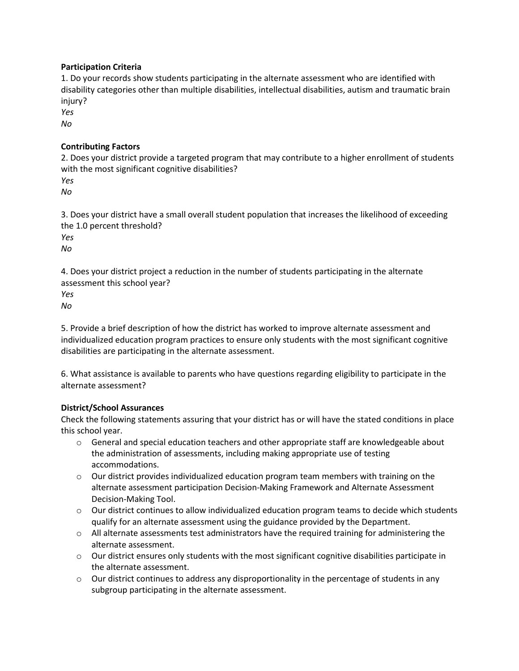## **Participation Criteria**

1. Do your records show students participating in the alternate assessment who are identified with disability categories other than multiple disabilities, intellectual disabilities, autism and traumatic brain injury?

*Yes*

*No*

# **Contributing Factors**

2. Does your district provide a targeted program that may contribute to a higher enrollment of students with the most significant cognitive disabilities?

*Yes*

*No*

3. Does your district have a small overall student population that increases the likelihood of exceeding the 1.0 percent threshold?

*Yes*

*No*

4. Does your district project a reduction in the number of students participating in the alternate assessment this school year?

*Yes*

*No*

5. Provide a brief description of how the district has worked to improve alternate assessment and individualized education program practices to ensure only students with the most significant cognitive disabilities are participating in the alternate assessment.

6. What assistance is available to parents who have questions regarding eligibility to participate in the alternate assessment?

# **District/School Assurances**

Check the following statements assuring that your district has or will have the stated conditions in place this school year.

- $\circ$  General and special education teachers and other appropriate staff are knowledgeable about the administration of assessments, including making appropriate use of testing accommodations.
- $\circ$  Our district provides individualized education program team members with training on the alternate assessment participation Decision-Making Framework and Alternate Assessment Decision-Making Tool.
- $\circ$  Our district continues to allow individualized education program teams to decide which students qualify for an alternate assessment using the guidance provided by the Department.
- $\circ$  All alternate assessments test administrators have the required training for administering the alternate assessment.
- $\circ$  Our district ensures only students with the most significant cognitive disabilities participate in the alternate assessment.
- $\circ$  Our district continues to address any disproportionality in the percentage of students in any subgroup participating in the alternate assessment.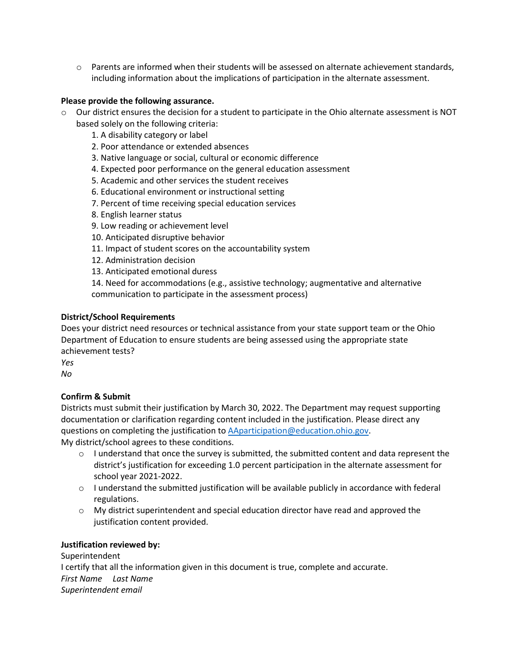$\circ$  Parents are informed when their students will be assessed on alternate achievement standards, including information about the implications of participation in the alternate assessment.

#### **Please provide the following assurance.**

- $\circ$  Our district ensures the decision for a student to participate in the Ohio alternate assessment is NOT based solely on the following criteria:
	- 1. A disability category or label
	- 2. Poor attendance or extended absences
	- 3. Native language or social, cultural or economic difference
	- 4. Expected poor performance on the general education assessment
	- 5. Academic and other services the student receives
	- 6. Educational environment or instructional setting
	- 7. Percent of time receiving special education services
	- 8. English learner status
	- 9. Low reading or achievement level
	- 10. Anticipated disruptive behavior
	- 11. Impact of student scores on the accountability system
	- 12. Administration decision
	- 13. Anticipated emotional duress

14. Need for accommodations (e.g., assistive technology; augmentative and alternative communication to participate in the assessment process)

## **District/School Requirements**

Does your district need resources or technical assistance from your state support team or the Ohio Department of Education to ensure students are being assessed using the appropriate state achievement tests?

*Yes*

*No*

# **Confirm & Submit**

Districts must submit their justification by March 30, 2022. The Department may request supporting documentation or clarification regarding content included in the justification. Please direct any questions on completing the justification to [AAparticipation@education.ohio.gov.](mailto:AAparticipation@education.ohio.gov) My district/school agrees to these conditions.

- $\circ$  I understand that once the survey is submitted, the submitted content and data represent the district's justification for exceeding 1.0 percent participation in the alternate assessment for school year 2021-2022.
- $\circ$  I understand the submitted justification will be available publicly in accordance with federal regulations.
- $\circ$  My district superintendent and special education director have read and approved the justification content provided.

#### **Justification reviewed by:**

Superintendent I certify that all the information given in this document is true, complete and accurate. *First Name Last Name Superintendent email*